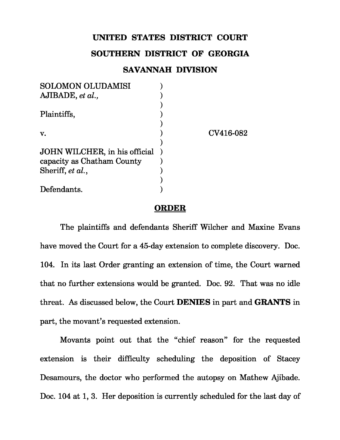## **UNITED STATES DISTRICT COURT**

## **SOUTHERN DISTRICT OF GEORGIA**

## **SAVANNAH DIVISION**

| <b>SOLOMON OLUDAMISI</b>      |           |
|-------------------------------|-----------|
| AJIBADE, et al.,              |           |
|                               |           |
| Plaintiffs,                   |           |
|                               |           |
| V.                            | CV416-082 |
|                               |           |
| JOHN WILCHER, in his official |           |
| capacity as Chatham County    |           |
| Sheriff, et al.,              |           |
|                               |           |
| Defendants.                   |           |
|                               |           |

## **ORDER**

The plaintiffs and defendants Sheriff Wilcher and Maxine Evans have moved the Court for a 45-day extension to complete discovery. Doc. 104. In its last Order granting an extension of time, the Court warned that no further extensions would be granted. Doc. 92. That was no idle threat. As discussed below, the Court **DENIES** in part and **GRANTS** in part, the movant's requested extension.

Movants point out that the "chief reason" for the requested extension is their difficulty scheduling the deposition of Stacey Desamours, the doctor who performed the autopsy on Mathew Ajibade. Doc. 104 at 1, 3. Her deposition is currently scheduled for the last day of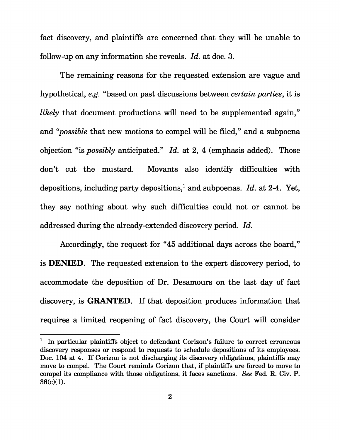fact discovery, and plaintiffs are concerned that they will be unable to follow-up on any information she reveals. *Id.* at doc. 3.

The remaining reasons for the requested extension are vague and hypothetical, *e.g.* "based on past discussions between *certain parties*, it is *likely* that document productions will need to be supplemented again," and "*possible* that new motions to compel will be filed," and a subpoena objection "is *possibly* anticipated." *Id.* at 2, 4 (emphasis added). Those don't cut the mustard. Movants also identify difficulties with depositions, including party depositions,<sup>1</sup> and subpoenas. *Id.* at 2-4. Yet, they say nothing about why such difficulties could not or cannot be addressed during the already-extended discovery period. *Id.* 

Accordingly, the request for "45 additional days across the board," is **DENIED**. The requested extension to the expert discovery period, to accommodate the deposition of Dr. Desamours on the last day of fact discovery, is **GRANTED**. If that deposition produces information that requires a limited reopening of fact discovery, the Court will consider

 $1$  In particular plaintiffs object to defendant Corizon's failure to correct erroneous discovery responses or respond to requests to schedule depositions of its employees. Doc. 104 at 4. If Corizon is not discharging its discovery obligations, plaintiffs may move to compel. The Court reminds Corizon that, if plaintiffs are forced to move to compel its compliance with those obligations, it faces sanctions. *See* Fed. R. Civ. P. 36(c)(1).